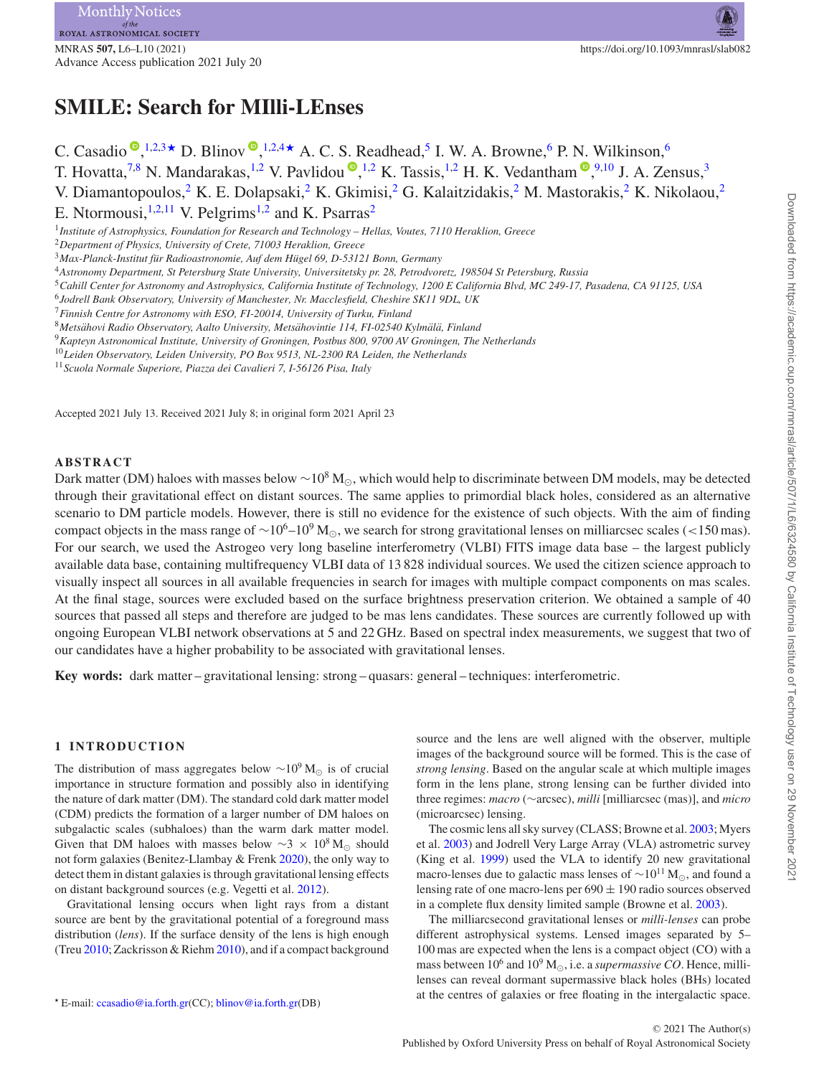# **SMILE: Search for MIlli-LEnses**

C. Casadio  $\mathbb{P}, ^{1,2,3\star}$  $\mathbb{P}, ^{1,2,3\star}$  $\mathbb{P}, ^{1,2,3\star}$  $\mathbb{P}, ^{1,2,3\star}$  $\mathbb{P}, ^{1,2,3\star}$  $\mathbb{P}, ^{1,2,3\star}$  $\mathbb{P}, ^{1,2,3\star}$  D. Blinov  $\mathbb{P}, ^{1,2,4\star}$  $\mathbb{P}, ^{1,2,4\star}$  $\mathbb{P}, ^{1,2,4\star}$  $\mathbb{P}, ^{1,2,4\star}$  $\mathbb{P}, ^{1,2,4\star}$  A. C. S. Readhead,<sup>5</sup> I. W. A. Browne,<sup>6</sup> P. N. Wilkinson,<sup>6</sup> T. Hovatta,<sup>[7,](#page-0-7)[8](#page-0-8)</sup> N. Mandarakas,<sup>[1](#page-0-0)[,2](#page-0-1)</sup> V. Pavlidou  $\bullet$ [,](http://orcid.org/0000-0002-0872-181X)<sup>1,2</sup> K. Tassis,<sup>1,2</sup> H. K. Vedantham  $\bullet$ ,<sup>9[,1](#page-0-0)0</sup> J. A. Zensus,<sup>3</sup> V. Diamantopoulos,<sup>[2](#page-0-1)</sup> K. E. Dolapsaki,<sup>2</sup> K. Gkimisi,<sup>2</sup> G. Kalaitzidakis,<sup>2</sup> M. Mastorakis,<sup>2</sup> K. Nikolaou,<sup>2</sup> E. Ntormousi, $1,2,11$  $1,2,11$  $1,2,11$  V. Pelgrims<sup>1[,2](#page-0-1)</sup> and K. Psarras<sup>[2](#page-0-1)</sup> <sup>1</sup>*Institute of Astrophysics, Foundation for Research and Technology – Hellas, Voutes, 7110 Heraklion, Greece*

<span id="page-0-1"></span><span id="page-0-0"></span><sup>2</sup>*Department of Physics, University of Crete, 71003 Heraklion, Greece*

<span id="page-0-2"></span><sup>3</sup>*Max-Planck-Institut fur Radioastronomie, Auf dem H ¨ ugel 69, D-53121 Bonn, Germany ¨*

<span id="page-0-4"></span><sup>4</sup>*Astronomy Department, St Petersburg State University, Universitetsky pr. 28, Petrodvoretz, 198504 St Petersburg, Russia*

<span id="page-0-5"></span><sup>5</sup>*Cahill Center for Astronomy and Astrophysics, California Institute of Technology, 1200 E California Blvd, MC 249-17, Pasadena, CA 91125, USA*

<span id="page-0-6"></span><sup>6</sup>*Jodrell Bank Observatory, University of Manchester, Nr. Macclesfield, Cheshire SK11 9DL, UK*

<span id="page-0-9"></span><sup>9</sup>*Kapteyn Astronomical Institute, University of Groningen, Postbus 800, 9700 AV Groningen, The Netherlands*

<span id="page-0-10"></span><sup>10</sup>*Leiden Observatory, Leiden University, PO Box 9513, NL-2300 RA Leiden, the Netherlands*

<span id="page-0-11"></span><sup>11</sup>*Scuola Normale Superiore, Piazza dei Cavalieri 7, I-56126 Pisa, Italy*

Accepted 2021 July 13. Received 2021 July 8; in original form 2021 April 23

# **ABSTRACT**

Dark matter (DM) haloes with masses below ~10<sup>8</sup> M<sub>o</sub>, which would help to discriminate between DM models, may be detected through their gravitational effect on distant sources. The same applies to primordial black holes, considered as an alternative scenario to DM particle models. However, there is still no evidence for the existence of such objects. With the aim of finding compact objects in the mass range of ~10<sup>6</sup>–10<sup>9</sup> M<sub>☉</sub>, we search for strong gravitational lenses on milliarcsec scales (<150 mas). For our search, we used the Astrogeo very long baseline interferometry (VLBI) FITS image data base – the largest publicly available data base, containing multifrequency VLBI data of 13 828 individual sources. We used the citizen science approach to visually inspect all sources in all available frequencies in search for images with multiple compact components on mas scales. At the final stage, sources were excluded based on the surface brightness preservation criterion. We obtained a sample of 40 sources that passed all steps and therefore are judged to be mas lens candidates. These sources are currently followed up with ongoing European VLBI network observations at 5 and 22 GHz. Based on spectral index measurements, we suggest that two of our candidates have a higher probability to be associated with gravitational lenses.

**Key words:** dark matter – gravitational lensing: strong – quasars: general – techniques: interferometric.

# **1 INTRODUCTION**

The distribution of mass aggregates below  $\sim$ 10<sup>9</sup> M<sub>☉</sub> is of crucial importance in structure formation and possibly also in identifying the nature of dark matter (DM). The standard cold dark matter model (CDM) predicts the formation of a larger number of DM haloes on subgalactic scales (subhaloes) than the warm dark matter model. Given that DM haloes with masses below  $\sim$ 3 × 10<sup>8</sup> M<sub>☉</sub> should not form galaxies (Benitez-Llambay & Frenk [2020\)](#page-4-0), the only way to detect them in distant galaxies is through gravitational lensing effects on distant background sources (e.g. Vegetti et al. [2012\)](#page-4-1).

Gravitational lensing occurs when light rays from a distant source are bent by the gravitational potential of a foreground mass distribution (*lens*). If the surface density of the lens is high enough (Treu [2010;](#page-4-2) Zackrisson & Riehm [2010\)](#page-4-3), and if a compact background source and the lens are well aligned with the observer, multiple images of the background source will be formed. This is the case of *strong lensing*. Based on the angular scale at which multiple images form in the lens plane, strong lensing can be further divided into three regimes: *macro* (∼arcsec), *milli* [milliarcsec (mas)], and *micro* (microarcsec) lensing.

The cosmic lens all sky survey (CLASS; Browne et al. [2003;](#page-4-4) Myers et al. [2003\)](#page-4-5) and Jodrell Very Large Array (VLA) astrometric survey (King et al. [1999\)](#page-4-6) used the VLA to identify 20 new gravitational macro-lenses due to galactic mass lenses of  $\sim 10^{11}$  M<sub> $\odot$ </sub>, and found a lensing rate of one macro-lens per  $690 \pm 190$  radio sources observed in a complete flux density limited sample (Browne et al. [2003\)](#page-4-4).

The milliarcsecond gravitational lenses or *milli-lenses* can probe different astrophysical systems. Lensed images separated by 5– 100 mas are expected when the lens is a compact object (CO) with a mass between  $10^6$  and  $10^9$  M<sub> $\odot$ </sub>, i.e. a *supermassive CO*. Hence, millilenses can reveal dormant supermassive black holes (BHs) located at the centres of galaxies or free floating in the intergalactic space.

<span id="page-0-7"></span><sup>7</sup>*Finnish Centre for Astronomy with ESO, FI-20014, University of Turku, Finland*

<span id="page-0-8"></span><sup>8</sup>*Metsahovi Radio Observatory, Aalto University, Mets ¨ ahovintie 114, FI-02540 Kylm ¨ al¨ a, Finland ¨*

<span id="page-0-3"></span>*<sup>-</sup>* E-mail: [ccasadio@ia.forth.gr\(](mailto:ccasadio@ia.forth.gr)CC); [blinov@ia.forth.gr\(](mailto:blinov@ia.forth.gr)DB)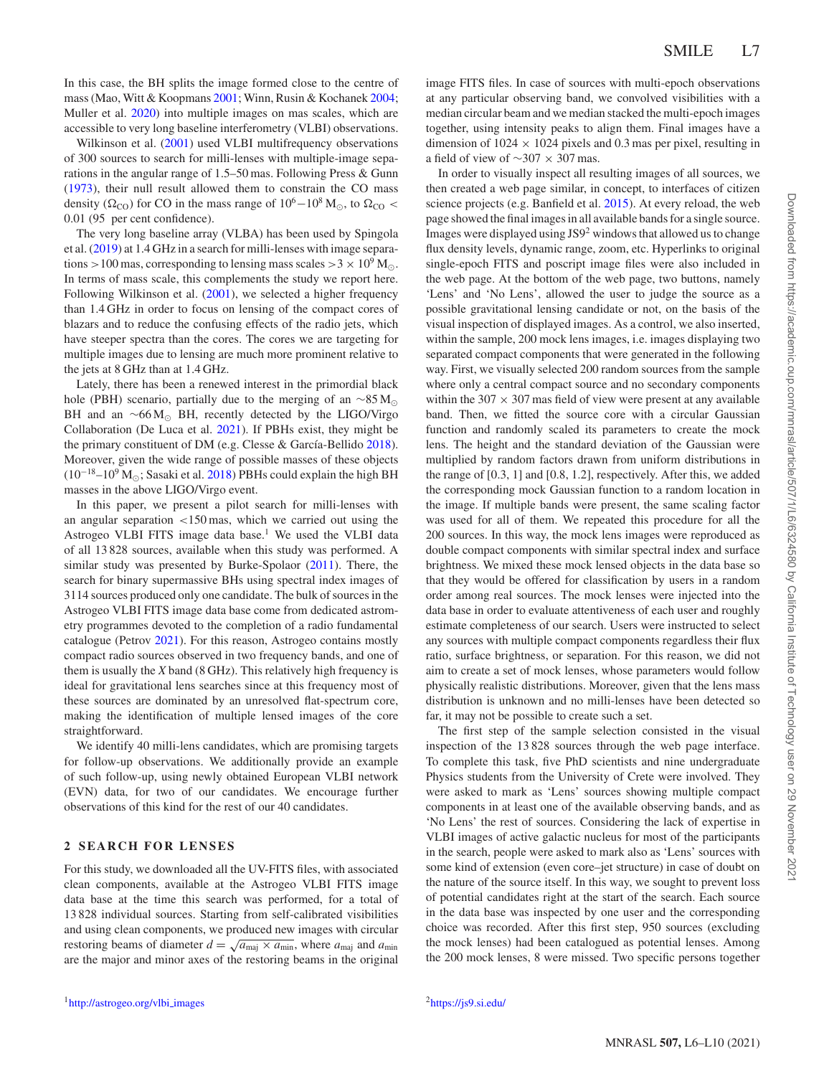In this case, the BH splits the image formed close to the centre of mass (Mao, Witt & Koopmans [2001;](#page-4-7) Winn, Rusin & Kochanek [2004;](#page-4-8) Muller et al. [2020\)](#page-4-9) into multiple images on mas scales, which are accessible to very long baseline interferometry (VLBI) observations.

Wilkinson et al. [\(2001\)](#page-4-10) used VLBI multifrequency observations of 300 sources to search for milli-lenses with multiple-image separations in the angular range of 1.5–50 mas. Following Press & Gunn [\(1973\)](#page-4-11), their null result allowed them to constrain the CO mass density ( $\Omega_{\text{CO}}$ ) for CO in the mass range of  $10^6-10^8$  M<sub> $\odot$ </sub>, to  $\Omega_{\text{CO}}$  < 0.01 (95 per cent confidence).

The very long baseline array (VLBA) has been used by Spingola et al. [\(2019\)](#page-4-12) at 1.4 GHz in a search for milli-lenses with image separations  $>100$  mas, corresponding to lensing mass scales  $>3 \times 10^9$  M<sub>o</sub>. In terms of mass scale, this complements the study we report here. Following Wilkinson et al. [\(2001\)](#page-4-10), we selected a higher frequency than 1.4 GHz in order to focus on lensing of the compact cores of blazars and to reduce the confusing effects of the radio jets, which have steeper spectra than the cores. The cores we are targeting for multiple images due to lensing are much more prominent relative to the jets at 8 GHz than at 1.4 GHz.

Lately, there has been a renewed interest in the primordial black hole (PBH) scenario, partially due to the merging of an  $\sim 85 M_{\odot}$ BH and an  $~\sim 66 M_{\odot}$  BH, recently detected by the LIGO/Virgo Collaboration (De Luca et al. [2021\)](#page-4-13). If PBHs exist, they might be the primary constituent of DM (e.g. Clesse & García-Bellido  $2018$ ). Moreover, given the wide range of possible masses of these objects  $(10^{-18} - 10^9 \,\text{M}_\odot;$  Sasaki et al. [2018\)](#page-4-15) PBHs could explain the high BH masses in the above LIGO/Virgo event.

In this paper, we present a pilot search for milli-lenses with an angular separation *<*150 mas, which we carried out using the Astrogeo VLBI FITS image data base.<sup>1</sup> We used the VLBI data of all 13 828 sources, available when this study was performed. A similar study was presented by Burke-Spolaor [\(2011\)](#page-4-16). There, the search for binary supermassive BHs using spectral index images of 3114 sources produced only one candidate. The bulk of sources in the Astrogeo VLBI FITS image data base come from dedicated astrometry programmes devoted to the completion of a radio fundamental catalogue (Petrov [2021\)](#page-4-17). For this reason, Astrogeo contains mostly compact radio sources observed in two frequency bands, and one of them is usually the *X* band (8 GHz). This relatively high frequency is ideal for gravitational lens searches since at this frequency most of these sources are dominated by an unresolved flat-spectrum core, making the identification of multiple lensed images of the core straightforward.

We identify 40 milli-lens candidates, which are promising targets for follow-up observations. We additionally provide an example of such follow-up, using newly obtained European VLBI network (EVN) data, for two of our candidates. We encourage further observations of this kind for the rest of our 40 candidates.

### **2 SEARCH FOR LENSES**

For this study, we downloaded all the UV-FITS files, with associated clean components, available at the Astrogeo VLBI FITS image data base at the time this search was performed, for a total of 13 828 individual sources. Starting from self-calibrated visibilities and using clean components, we produced new images with circular restoring beams of diameter  $d = \sqrt{a_{\text{maj}} \times a_{\text{min}}}$ , where  $a_{\text{maj}}$  and  $a_{\text{min}}$ are the major and minor axes of the restoring beams in the original

image FITS files. In case of sources with multi-epoch observations at any particular observing band, we convolved visibilities with a median circular beam and we median stacked the multi-epoch images together, using intensity peaks to align them. Final images have a dimension of  $1024 \times 1024$  pixels and 0.3 mas per pixel, resulting in a field of view of ∼307 × 307 mas.

In order to visually inspect all resulting images of all sources, we then created a web page similar, in concept, to interfaces of citizen science projects (e.g. Banfield et al. [2015\)](#page-4-18). At every reload, the web page showed the final images in all available bands for a single source. Images were displayed using JS9<sup>2</sup> windows that allowed us to change flux density levels, dynamic range, zoom, etc. Hyperlinks to original single-epoch FITS and poscript image files were also included in the web page. At the bottom of the web page, two buttons, namely 'Lens' and 'No Lens', allowed the user to judge the source as a possible gravitational lensing candidate or not, on the basis of the visual inspection of displayed images. As a control, we also inserted, within the sample, 200 mock lens images, i.e. images displaying two separated compact components that were generated in the following way. First, we visually selected 200 random sources from the sample where only a central compact source and no secondary components within the  $307 \times 307$  mas field of view were present at any available band. Then, we fitted the source core with a circular Gaussian function and randomly scaled its parameters to create the mock lens. The height and the standard deviation of the Gaussian were multiplied by random factors drawn from uniform distributions in the range of [0.3, 1] and [0.8, 1.2], respectively. After this, we added the corresponding mock Gaussian function to a random location in the image. If multiple bands were present, the same scaling factor was used for all of them. We repeated this procedure for all the 200 sources. In this way, the mock lens images were reproduced as double compact components with similar spectral index and surface brightness. We mixed these mock lensed objects in the data base so that they would be offered for classification by users in a random order among real sources. The mock lenses were injected into the data base in order to evaluate attentiveness of each user and roughly estimate completeness of our search. Users were instructed to select any sources with multiple compact components regardless their flux ratio, surface brightness, or separation. For this reason, we did not aim to create a set of mock lenses, whose parameters would follow physically realistic distributions. Moreover, given that the lens mass distribution is unknown and no milli-lenses have been detected so far, it may not be possible to create such a set.

The first step of the sample selection consisted in the visual inspection of the 13 828 sources through the web page interface. To complete this task, five PhD scientists and nine undergraduate Physics students from the University of Crete were involved. They were asked to mark as 'Lens' sources showing multiple compact components in at least one of the available observing bands, and as 'No Lens' the rest of sources. Considering the lack of expertise in VLBI images of active galactic nucleus for most of the participants in the search, people were asked to mark also as 'Lens' sources with some kind of extension (even core–jet structure) in case of doubt on the nature of the source itself. In this way, we sought to prevent loss of potential candidates right at the start of the search. Each source in the data base was inspected by one user and the corresponding choice was recorded. After this first step, 950 sources (excluding the mock lenses) had been catalogued as potential lenses. Among the 200 mock lenses, 8 were missed. Two specific persons together

Downloaded from https://academic.oup.com/mnras/larticle/507/1/L6/6324580 by California Institute of Technology user on 29 November 202 Downloaded from https://academic.oup.com/mnrasl/article/507/1/L6/6324580 by California Institute of Technology user on 29 November 2021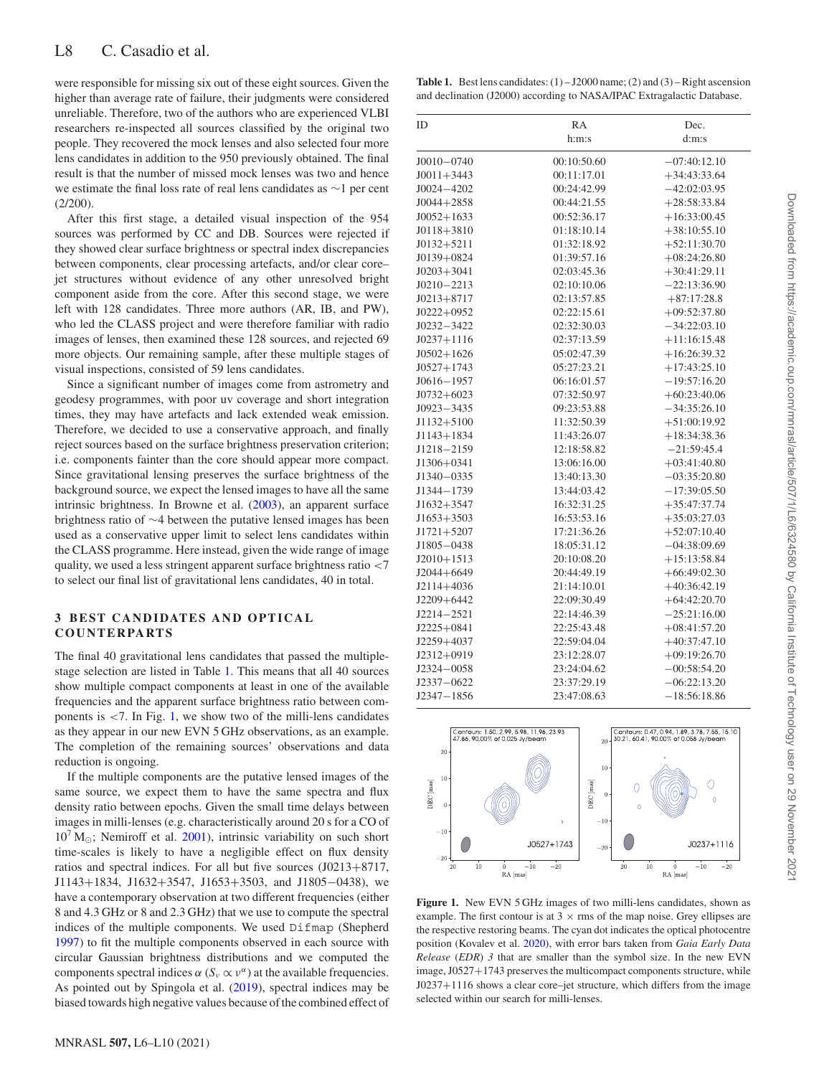were responsible for missing six out of these eight sources. Given the higher than average rate of failure, their judgments were considered unreliable. Therefore, two of the authors who are experienced VLBI researchers re-inspected all sources classified by the original two people. They recovered the mock lenses and also selected four more lens candidates in addition to the 950 previously obtained. The final result is that the number of missed mock lenses was two and hence we estimate the final loss rate of real lens candidates as ∼1 per cent  $(2/200)$ .

After this first stage, a detailed visual inspection of the 954 sources was performed by CC and DB. Sources were rejected if they showed clear surface brightness or spectral index discrepancies between components, clear processing artefacts, and/or clear core– jet structures without evidence of any other unresolved bright component aside from the core. After this second stage, we were left with 128 candidates. Three more authors (AR, IB, and PW), who led the CLASS project and were therefore familiar with radio images of lenses, then examined these 128 sources, and rejected 69 more objects. Our remaining sample, after these multiple stages of visual inspections, consisted of 59 lens candidates.

Since a significant number of images come from astrometry and geodesy programmes, with poor uv coverage and short integration times, they may have artefacts and lack extended weak emission. Therefore, we decided to use a conservative approach, and finally reject sources based on the surface brightness preservation criterion; i.e. components fainter than the core should appear more compact. Since gravitational lensing preserves the surface brightness of the background source, we expect the lensed images to have all the same intrinsic brightness. In Browne et al. [\(2003\)](#page-4-4), an apparent surface brightness ratio of ∼4 between the putative lensed images has been used as a conservative upper limit to select lens candidates within the CLASS programme. Here instead, given the wide range of image quality, we used a less stringent apparent surface brightness ratio *<*7 to select our final list of gravitational lens candidates, 40 in total.

## **3 BEST CANDIDATES AND OPTICAL COUNTERPARTS**

The final 40 gravitational lens candidates that passed the multiplestage selection are listed in Table [1.](#page-2-0) This means that all 40 sources show multiple compact components at least in one of the available frequencies and the apparent surface brightness ratio between components is *<*7. In Fig. [1,](#page-2-1) we show two of the milli-lens candidates as they appear in our new EVN 5 GHz observations, as an example. The completion of the remaining sources' observations and data reduction is ongoing.

If the multiple components are the putative lensed images of the same source, we expect them to have the same spectra and flux density ratio between epochs. Given the small time delays between images in milli-lenses (e.g. characteristically around 20 s for a CO of  $10^7 \,\mathrm{M}_{\odot}$ ; Nemiroff et al. [2001\)](#page-4-19), intrinsic variability on such short time-scales is likely to have a negligible effect on flux density ratios and spectral indices. For all but five sources (J0213+8717, J1143+1834, J1632+3547, J1653+3503, and J1805−0438), we have a contemporary observation at two different frequencies (either 8 and 4.3 GHz or 8 and 2.3 GHz) that we use to compute the spectral indices of the multiple components. We used Difmap (Shepherd [1997\)](#page-4-20) to fit the multiple components observed in each source with circular Gaussian brightness distributions and we computed the components spectral indices *α* ( $S$ <sup>*ν*</sup> αt the available frequencies. As pointed out by Spingola et al. [\(2019\)](#page-4-12), spectral indices may be biased towards high negative values because of the combined effect of

<span id="page-2-0"></span>**Table 1.** Best lens candidates:  $(1) - J2000$  name;  $(2)$  and  $(3) -$ Right ascension and declination (J2000) according to NASA/IPAC Extragalactic Database.

| <b>ID</b>      | <b>RA</b>   | Dec.           |
|----------------|-------------|----------------|
|                | h:m:s       | d:m:s          |
| $J0010 - 0740$ | 00:10:50.60 | $-07:40:12.10$ |
| $J0011 + 3443$ | 00:11:17.01 | $+34:43:33.64$ |
| $J0024 - 4202$ | 00:24:42.99 | $-42:02:03.95$ |
| $J0044 + 2858$ | 00:44:21.55 | $+28:58:33.84$ |
| $J0052+1633$   | 00:52:36.17 | $+16:33:00.45$ |
| $J0118 + 3810$ | 01:18:10.14 | $+38:10:55.10$ |
| $J0132 + 5211$ | 01:32:18.92 | $+52:11:30.70$ |
| $J0139+0824$   | 01:39:57.16 | $+08:24:26.80$ |
| $J0203 + 3041$ | 02:03:45.36 | $+30:41:29.11$ |
| $J0210 - 2213$ | 02:10:10.06 | $-22:13:36.90$ |
| $J0213 + 8717$ | 02:13:57.85 | $+87:17:28.8$  |
| $J0222+0952$   | 02:22:15.61 | $+09:52:37.80$ |
| $J0232 - 3422$ | 02:32:30.03 | $-34:22:03.10$ |
| $J0237+1116$   | 02:37:13.59 | $+11:16:15.48$ |
| $J0502+1626$   | 05:02:47.39 | $+16:26:39.32$ |
| $J0527+1743$   | 05:27:23.21 | $+17:43:25.10$ |
| $J0616 - 1957$ | 06:16:01.57 | $-19:57:16.20$ |
| $J0732+6023$   | 07:32:50.97 | $+60:23:40.06$ |
| $J0923 - 3435$ | 09:23:53.88 | $-34:35:26.10$ |
| J1132+5100     | 11:32:50.39 | $+51:00:19.92$ |
| $J1143 + 1834$ | 11:43:26.07 | $+18:34:38.36$ |
| J1218-2159     | 12:18:58.82 | $-21:59:45.4$  |
| $J1306 + 0341$ | 13:06:16.00 | $+03:41:40.80$ |
| J1340-0335     | 13:40:13.30 | $-03:35:20.80$ |
| J1344-1739     | 13:44:03.42 | $-17:39:05.50$ |
| $J1632 + 3547$ | 16:32:31.25 | $+35:47:37.74$ |
| $J1653 + 3503$ | 16:53:53.16 | $+35:03:27.03$ |
| $J1721 + 5207$ | 17:21:36.26 | $+52:07:10.40$ |
| $J1805 - 0438$ | 18:05:31.12 | $-04:38:09.69$ |
| $J2010+1513$   | 20:10:08.20 | $+15:13:58.84$ |
| $J2044 + 6649$ | 20:44:49.19 | $+66:49:02.30$ |
| $J2114 + 4036$ | 21:14:10.01 | $+40:36:42.19$ |
| $J2209 + 6442$ | 22:09:30.49 | $+64:42:20.70$ |
| $J2214 - 2521$ | 22:14:46.39 | $-25:21:16.00$ |
| $J2225+0841$   | 22:25:43.48 | $+08:41:57.20$ |
| J2259+4037     | 22:59:04.04 | $+40:37:47.10$ |
| J2312+0919     | 23:12:28.07 | $+09:19:26.70$ |
| J2324-0058     | 23:24:04.62 | $-00:58:54.20$ |
| $J2337 - 0622$ | 23:37:29.19 | $-06:22:13.20$ |
| $J2347 - 1856$ | 23:47:08.63 | $-18:56:18.86$ |

<span id="page-2-1"></span>

**Figure 1.** New EVN 5 GHz images of two milli-lens candidates, shown as example. The first contour is at  $3 \times$  rms of the map noise. Grey ellipses are the respective restoring beams. The cyan dot indicates the optical photocentre position (Kovalev et al. [2020\)](#page-4-21), with error bars taken from *Gaia Early Data Release* (*EDR*) *3* that are smaller than the symbol size. In the new EVN image, J0527+1743 preserves the multicompact components structure, while J0237+1116 shows a clear core–jet structure, which differs from the image selected within our search for milli-lenses.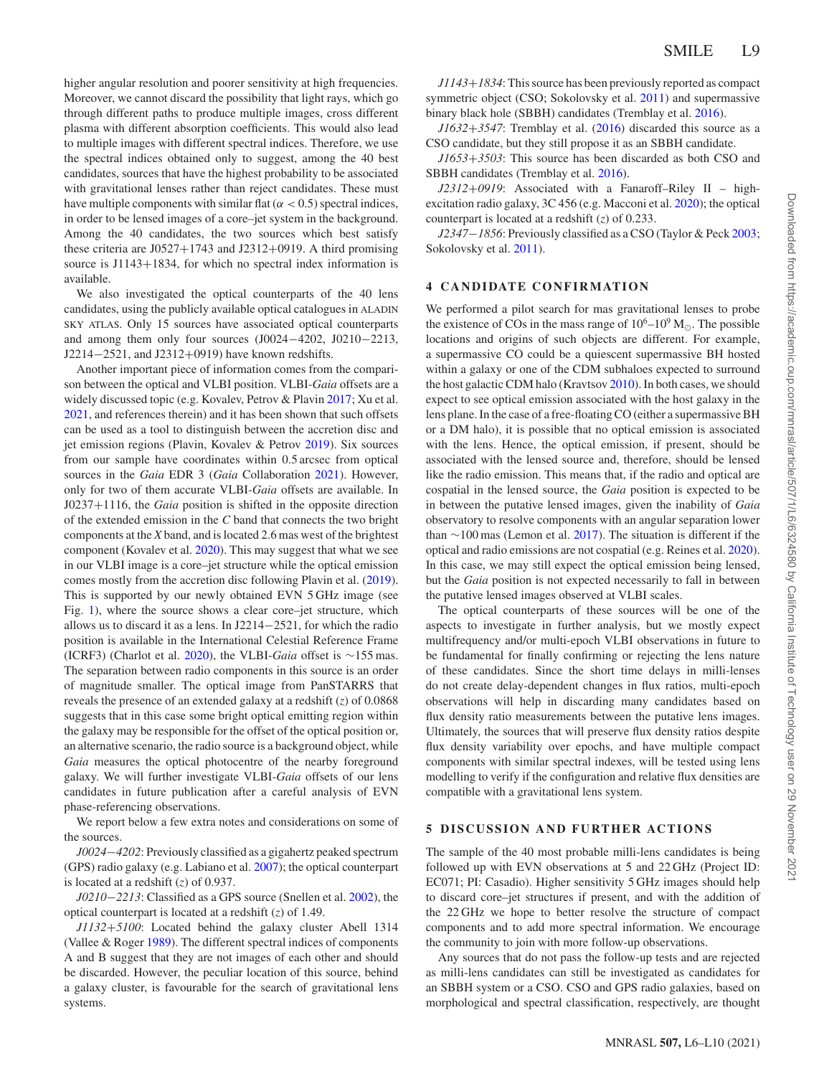higher angular resolution and poorer sensitivity at high frequencies. Moreover, we cannot discard the possibility that light rays, which go through different paths to produce multiple images, cross different plasma with different absorption coefficients. This would also lead to multiple images with different spectral indices. Therefore, we use the spectral indices obtained only to suggest, among the 40 best candidates, sources that have the highest probability to be associated with gravitational lenses rather than reject candidates. These must have multiple components with similar flat  $(\alpha < 0.5)$  spectral indices, in order to be lensed images of a core–jet system in the background. Among the 40 candidates, the two sources which best satisfy these criteria are J0527+1743 and J2312+0919. A third promising source is J1143+1834, for which no spectral index information is available.

We also investigated the optical counterparts of the 40 lens candidates, using the publicly available optical catalogues in ALADIN SKY ATLAS. Only 15 sources have associated optical counterparts and among them only four sources (J0024−4202, J0210−2213, J2214−2521, and J2312+0919) have known redshifts.

Another important piece of information comes from the comparison between the optical and VLBI position. VLBI-*Gaia* offsets are a widely discussed topic (e.g. Kovalev, Petrov & Plavin [2017;](#page-4-22) Xu et al. [2021,](#page-4-23) and references therein) and it has been shown that such offsets can be used as a tool to distinguish between the accretion disc and jet emission regions (Plavin, Kovalev & Petrov [2019\)](#page-4-24). Six sources from our sample have coordinates within 0.5 arcsec from optical sources in the *Gaia* EDR 3 (*Gaia* Collaboration [2021\)](#page-4-25). However, only for two of them accurate VLBI-*Gaia* offsets are available. In J0237+1116, the *Gaia* position is shifted in the opposite direction of the extended emission in the *C* band that connects the two bright components at the *X* band, and is located 2.6 mas west of the brightest component (Kovalev et al. [2020\)](#page-4-21). This may suggest that what we see in our VLBI image is a core–jet structure while the optical emission comes mostly from the accretion disc following Plavin et al. [\(2019\)](#page-4-24). This is supported by our newly obtained EVN 5 GHz image (see Fig. [1\)](#page-2-1), where the source shows a clear core–jet structure, which allows us to discard it as a lens. In J2214−2521, for which the radio position is available in the International Celestial Reference Frame (ICRF3) (Charlot et al. [2020\)](#page-4-26), the VLBI-*Gaia* offset is ∼155 mas. The separation between radio components in this source is an order of magnitude smaller. The optical image from PanSTARRS that reveals the presence of an extended galaxy at a redshift (*z*) of 0.0868 suggests that in this case some bright optical emitting region within the galaxy may be responsible for the offset of the optical position or, an alternative scenario, the radio source is a background object, while *Gaia* measures the optical photocentre of the nearby foreground galaxy. We will further investigate VLBI-*Gaia* offsets of our lens candidates in future publication after a careful analysis of EVN phase-referencing observations.

We report below a few extra notes and considerations on some of the sources.

*J0024*−*4202*: Previously classified as a gigahertz peaked spectrum (GPS) radio galaxy (e.g. Labiano et al. [2007\)](#page-4-27); the optical counterpart is located at a redshift (*z*) of 0.937.

*J0210*−*2213*: Classified as a GPS source (Snellen et al. [2002\)](#page-4-28), the optical counterpart is located at a redshift (*z*) of 1.49.

*J1132*+*5100*: Located behind the galaxy cluster Abell 1314 (Vallee & Roger [1989\)](#page-4-29). The different spectral indices of components A and B suggest that they are not images of each other and should be discarded. However, the peculiar location of this source, behind a galaxy cluster, is favourable for the search of gravitational lens systems.

*J1143*+*1834*: This source has been previously reported as compact symmetric object (CSO; Sokolovsky et al. [2011\)](#page-4-30) and supermassive binary black hole (SBBH) candidates (Tremblay et al. [2016\)](#page-4-31).

*J1632*+*3547*: Tremblay et al. [\(2016\)](#page-4-31) discarded this source as a CSO candidate, but they still propose it as an SBBH candidate.

*J1653*+*3503*: This source has been discarded as both CSO and SBBH candidates (Tremblay et al. [2016\)](#page-4-31).

*J2312*+*0919*: Associated with a Fanaroff–Riley II – highexcitation radio galaxy, 3C 456 (e.g. Macconi et al. [2020\)](#page-4-32); the optical counterpart is located at a redshift (*z*) of 0.233.

*J2347*−*1856*: Previously classified as a CSO (Taylor & Peck [2003;](#page-4-33) Sokolovsky et al. [2011\)](#page-4-30).

#### **4 CANDIDATE CONFIRMATION**

We performed a pilot search for mas gravitational lenses to probe the existence of COs in the mass range of  $10^6$ – $10^9$  M<sub> $\odot$ </sub>. The possible locations and origins of such objects are different. For example, a supermassive CO could be a quiescent supermassive BH hosted within a galaxy or one of the CDM subhaloes expected to surround the host galactic CDM halo (Kravtsov [2010\)](#page-4-34). In both cases, we should expect to see optical emission associated with the host galaxy in the lens plane. In the case of a free-floating CO (either a supermassive BH or a DM halo), it is possible that no optical emission is associated with the lens. Hence, the optical emission, if present, should be associated with the lensed source and, therefore, should be lensed like the radio emission. This means that, if the radio and optical are cospatial in the lensed source, the *Gaia* position is expected to be in between the putative lensed images, given the inability of *Gaia* observatory to resolve components with an angular separation lower than ∼100 mas (Lemon et al. [2017\)](#page-4-35). The situation is different if the optical and radio emissions are not cospatial (e.g. Reines et al. [2020\)](#page-4-36). In this case, we may still expect the optical emission being lensed, but the *Gaia* position is not expected necessarily to fall in between the putative lensed images observed at VLBI scales.

The optical counterparts of these sources will be one of the aspects to investigate in further analysis, but we mostly expect multifrequency and/or multi-epoch VLBI observations in future to be fundamental for finally confirming or rejecting the lens nature of these candidates. Since the short time delays in milli-lenses do not create delay-dependent changes in flux ratios, multi-epoch observations will help in discarding many candidates based on flux density ratio measurements between the putative lens images. Ultimately, the sources that will preserve flux density ratios despite flux density variability over epochs, and have multiple compact components with similar spectral indexes, will be tested using lens modelling to verify if the configuration and relative flux densities are compatible with a gravitational lens system.

## **5 DISCUSSION AND FURTHER ACTIONS**

The sample of the 40 most probable milli-lens candidates is being followed up with EVN observations at 5 and 22 GHz (Project ID: EC071; PI: Casadio). Higher sensitivity 5 GHz images should help to discard core–jet structures if present, and with the addition of the 22 GHz we hope to better resolve the structure of compact components and to add more spectral information. We encourage the community to join with more follow-up observations.

Any sources that do not pass the follow-up tests and are rejected as milli-lens candidates can still be investigated as candidates for an SBBH system or a CSO. CSO and GPS radio galaxies, based on morphological and spectral classification, respectively, are thought